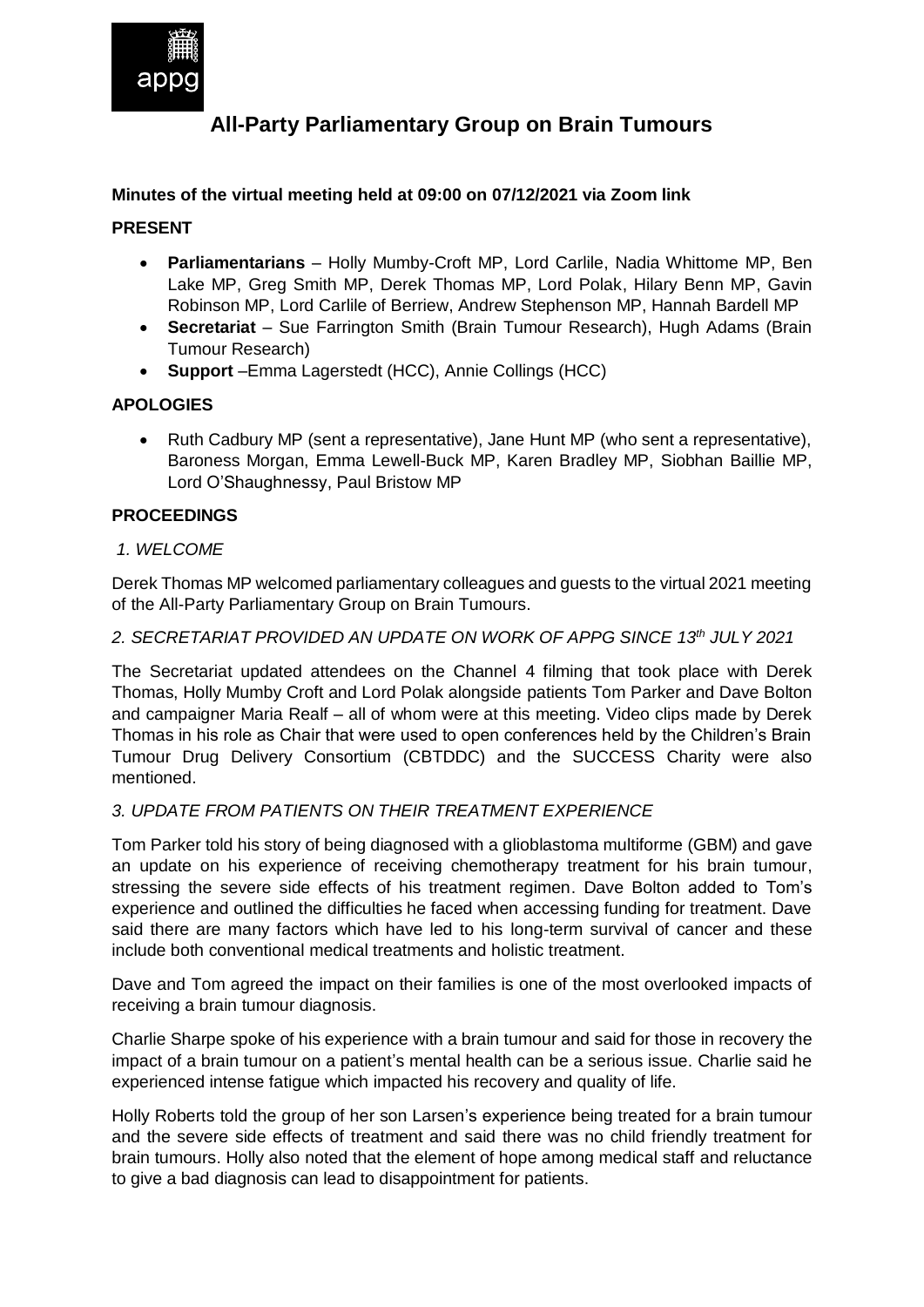

# **All-Party Parliamentary Group on Brain Tumours**

# **Minutes of the virtual meeting held at 09:00 on 07/12/2021 via Zoom link**

# **PRESENT**

- **Parliamentarians** Holly Mumby-Croft MP, Lord Carlile, Nadia Whittome MP, Ben Lake MP, Greg Smith MP, Derek Thomas MP, Lord Polak, Hilary Benn MP, Gavin Robinson MP, Lord Carlile of Berriew, Andrew Stephenson MP, Hannah Bardell MP
- **Secretariat**  Sue Farrington Smith (Brain Tumour Research), Hugh Adams (Brain Tumour Research)
- **Support** –Emma Lagerstedt (HCC), Annie Collings (HCC)

# **APOLOGIES**

 Ruth Cadbury MP (sent a representative), Jane Hunt MP (who sent a representative), Baroness Morgan, Emma Lewell-Buck MP, Karen Bradley MP, Siobhan Baillie MP, Lord O'Shaughnessy, Paul Bristow MP

# **PROCEEDINGS**

# *1. WELCOME*

Derek Thomas MP welcomed parliamentary colleagues and guests to the virtual 2021 meeting of the All-Party Parliamentary Group on Brain Tumours.

#### *2. SECRETARIAT PROVIDED AN UPDATE ON WORK OF APPG SINCE 13th JULY 2021*

The Secretariat updated attendees on the Channel 4 filming that took place with Derek Thomas, Holly Mumby Croft and Lord Polak alongside patients Tom Parker and Dave Bolton and campaigner Maria Realf – all of whom were at this meeting. Video clips made by Derek Thomas in his role as Chair that were used to open conferences held by the Children's Brain Tumour Drug Delivery Consortium (CBTDDC) and the SUCCESS Charity were also mentioned.

# *3. UPDATE FROM PATIENTS ON THEIR TREATMENT EXPERIENCE*

Tom Parker told his story of being diagnosed with a glioblastoma multiforme (GBM) and gave an update on his experience of receiving chemotherapy treatment for his brain tumour, stressing the severe side effects of his treatment regimen. Dave Bolton added to Tom's experience and outlined the difficulties he faced when accessing funding for treatment. Dave said there are many factors which have led to his long-term survival of cancer and these include both conventional medical treatments and holistic treatment.

Dave and Tom agreed the impact on their families is one of the most overlooked impacts of receiving a brain tumour diagnosis.

Charlie Sharpe spoke of his experience with a brain tumour and said for those in recovery the impact of a brain tumour on a patient's mental health can be a serious issue. Charlie said he experienced intense fatigue which impacted his recovery and quality of life.

Holly Roberts told the group of her son Larsen's experience being treated for a brain tumour and the severe side effects of treatment and said there was no child friendly treatment for brain tumours. Holly also noted that the element of hope among medical staff and reluctance to give a bad diagnosis can lead to disappointment for patients.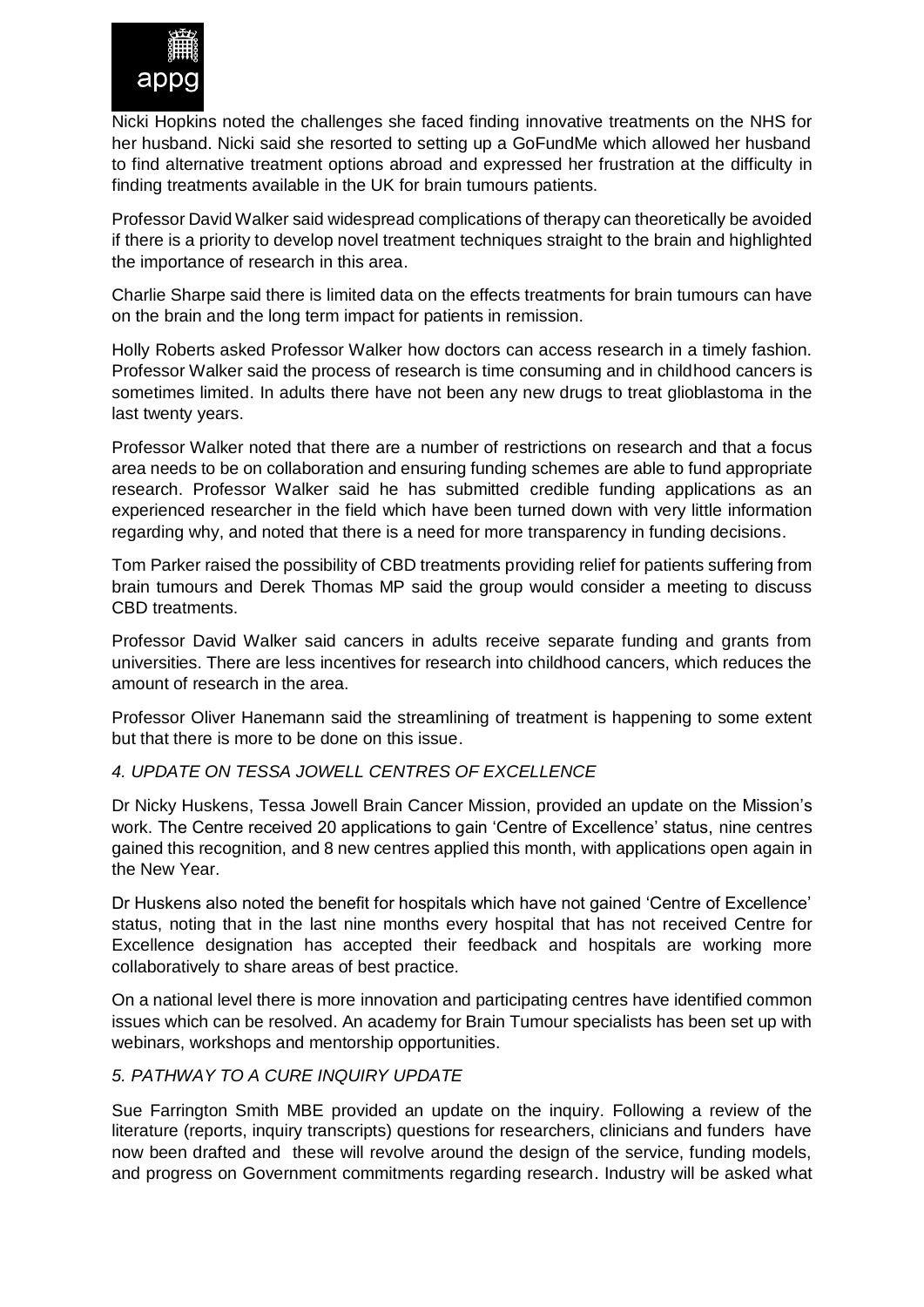

Nicki Hopkins noted the challenges she faced finding innovative treatments on the NHS for her husband. Nicki said she resorted to setting up a GoFundMe which allowed her husband to find alternative treatment options abroad and expressed her frustration at the difficulty in finding treatments available in the UK for brain tumours patients.

Professor David Walker said widespread complications of therapy can theoretically be avoided if there is a priority to develop novel treatment techniques straight to the brain and highlighted the importance of research in this area.

Charlie Sharpe said there is limited data on the effects treatments for brain tumours can have on the brain and the long term impact for patients in remission.

Holly Roberts asked Professor Walker how doctors can access research in a timely fashion. Professor Walker said the process of research is time consuming and in childhood cancers is sometimes limited. In adults there have not been any new drugs to treat glioblastoma in the last twenty years.

Professor Walker noted that there are a number of restrictions on research and that a focus area needs to be on collaboration and ensuring funding schemes are able to fund appropriate research. Professor Walker said he has submitted credible funding applications as an experienced researcher in the field which have been turned down with very little information regarding why, and noted that there is a need for more transparency in funding decisions.

Tom Parker raised the possibility of CBD treatments providing relief for patients suffering from brain tumours and Derek Thomas MP said the group would consider a meeting to discuss CBD treatments.

Professor David Walker said cancers in adults receive separate funding and grants from universities. There are less incentives for research into childhood cancers, which reduces the amount of research in the area.

Professor Oliver Hanemann said the streamlining of treatment is happening to some extent but that there is more to be done on this issue.

# *4. UPDATE ON TESSA JOWELL CENTRES OF EXCELLENCE*

Dr Nicky Huskens, Tessa Jowell Brain Cancer Mission, provided an update on the Mission's work. The Centre received 20 applications to gain 'Centre of Excellence' status, nine centres gained this recognition, and 8 new centres applied this month, with applications open again in the New Year.

Dr Huskens also noted the benefit for hospitals which have not gained 'Centre of Excellence' status, noting that in the last nine months every hospital that has not received Centre for Excellence designation has accepted their feedback and hospitals are working more collaboratively to share areas of best practice.

On a national level there is more innovation and participating centres have identified common issues which can be resolved. An academy for Brain Tumour specialists has been set up with webinars, workshops and mentorship opportunities.

# *5. PATHWAY TO A CURE INQUIRY UPDATE*

Sue Farrington Smith MBE provided an update on the inquiry. Following a review of the literature (reports, inquiry transcripts) questions for researchers, clinicians and funders have now been drafted and these will revolve around the design of the service, funding models, and progress on Government commitments regarding research. Industry will be asked what